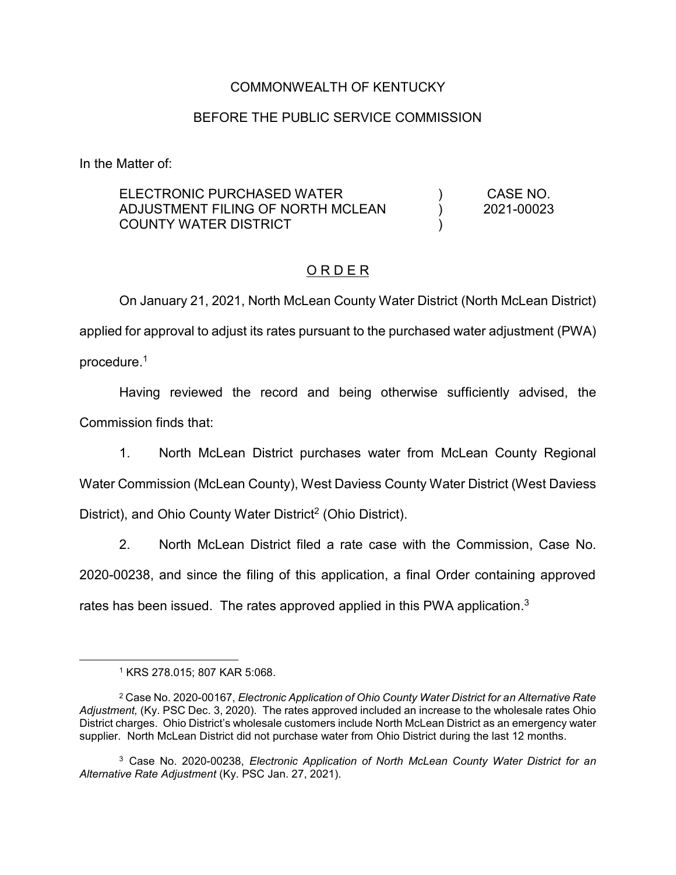### COMMONWEALTH OF KENTUCKY

#### BEFORE THE PUBLIC SERVICE COMMISSION

In the Matter of:

ELECTRONIC PURCHASED WATER ADJUSTMENT FILING OF NORTH MCLEAN COUNTY WATER DISTRICT ) ) ) CASE NO. 2021-00023

### O R D E R

On January 21, 2021, North McLean County Water District (North McLean District) applied for approval to adjust its rates pursuant to the purchased water adjustment (PWA) procedure.1

Having reviewed the record and being otherwise sufficiently advised, the Commission finds that:

1. North McLean District purchases water from McLean County Regional Water Commission (McLean County), West Daviess County Water District (West Daviess District), and Ohio County Water District<sup>2</sup> (Ohio District).

2. North McLean District filed a rate case with the Commission, Case No. 2020-00238, and since the filing of this application, a final Order containing approved rates has been issued. The rates approved applied in this PWA application.<sup>3</sup>

<sup>3</sup> Case No. 2020-00238, *Electronic Application of North McLean County Water District for an Alternative Rate Adjustment* (Ky. PSC Jan. 27, 2021).

 <sup>1</sup> KRS 278.015; 807 KAR 5:068.

<sup>2</sup> Case No. 2020-00167, *Electronic Application of Ohio County Water District for an Alternative Rate Adjustment,* (Ky. PSC Dec. 3, 2020). The rates approved included an increase to the wholesale rates Ohio District charges. Ohio District's wholesale customers include North McLean District as an emergency water supplier. North McLean District did not purchase water from Ohio District during the last 12 months.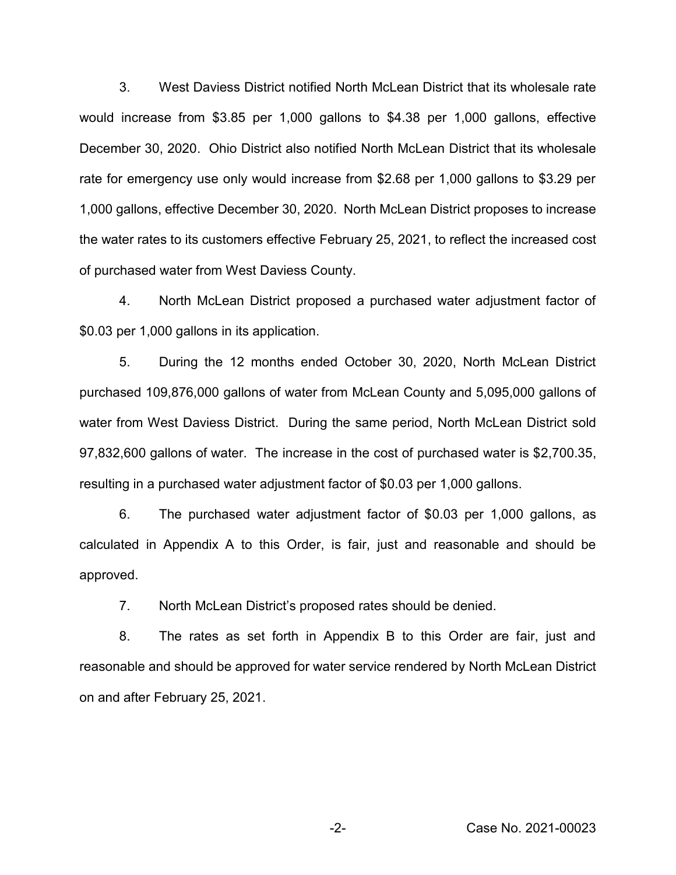3. West Daviess District notified North McLean District that its wholesale rate would increase from \$3.85 per 1,000 gallons to \$4.38 per 1,000 gallons, effective December 30, 2020. Ohio District also notified North McLean District that its wholesale rate for emergency use only would increase from \$2.68 per 1,000 gallons to \$3.29 per 1,000 gallons, effective December 30, 2020. North McLean District proposes to increase the water rates to its customers effective February 25, 2021, to reflect the increased cost of purchased water from West Daviess County.

4. North McLean District proposed a purchased water adjustment factor of \$0.03 per 1,000 gallons in its application.

5. During the 12 months ended October 30, 2020, North McLean District purchased 109,876,000 gallons of water from McLean County and 5,095,000 gallons of water from West Daviess District. During the same period, North McLean District sold 97,832,600 gallons of water. The increase in the cost of purchased water is \$2,700.35, resulting in a purchased water adjustment factor of \$0.03 per 1,000 gallons.

6. The purchased water adjustment factor of \$0.03 per 1,000 gallons, as calculated in Appendix A to this Order, is fair, just and reasonable and should be approved.

7. North McLean District's proposed rates should be denied.

8. The rates as set forth in Appendix B to this Order are fair, just and reasonable and should be approved for water service rendered by North McLean District on and after February 25, 2021.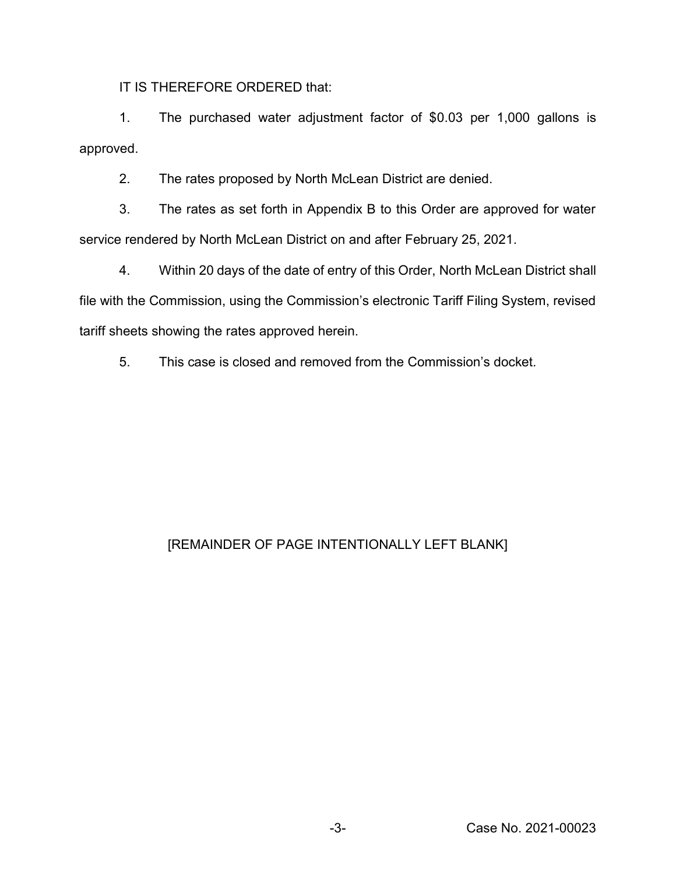IT IS THEREFORE ORDERED that:

1. The purchased water adjustment factor of \$0.03 per 1,000 gallons is approved.

2. The rates proposed by North McLean District are denied.

3. The rates as set forth in Appendix B to this Order are approved for water service rendered by North McLean District on and after February 25, 2021.

4. Within 20 days of the date of entry of this Order, North McLean District shall file with the Commission, using the Commission's electronic Tariff Filing System, revised tariff sheets showing the rates approved herein.

5. This case is closed and removed from the Commission's docket.

# [REMAINDER OF PAGE INTENTIONALLY LEFT BLANK]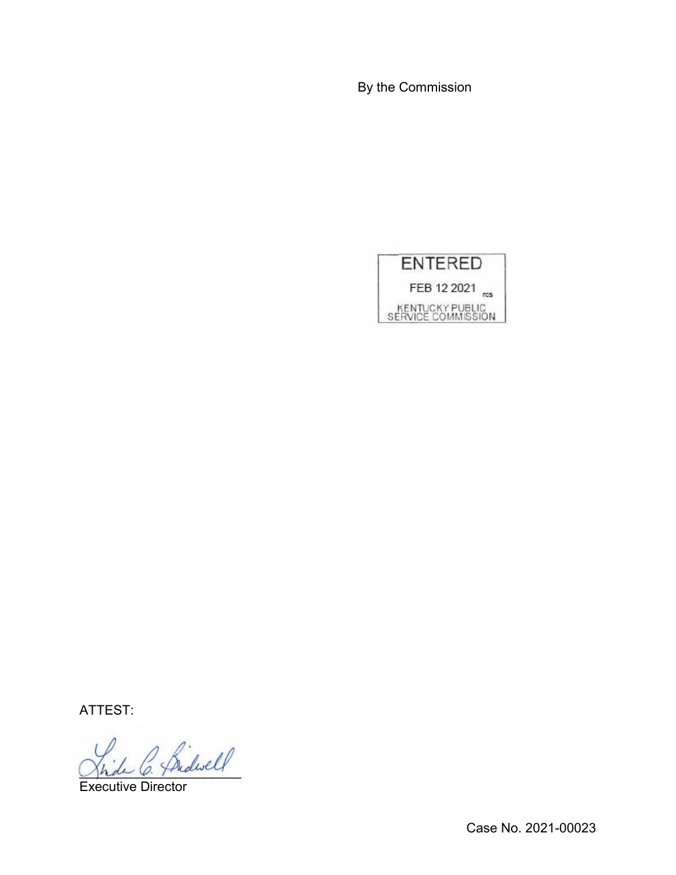By the Commission



ATTEST:

2 frideself

Executive Director

Case No. 2021-00023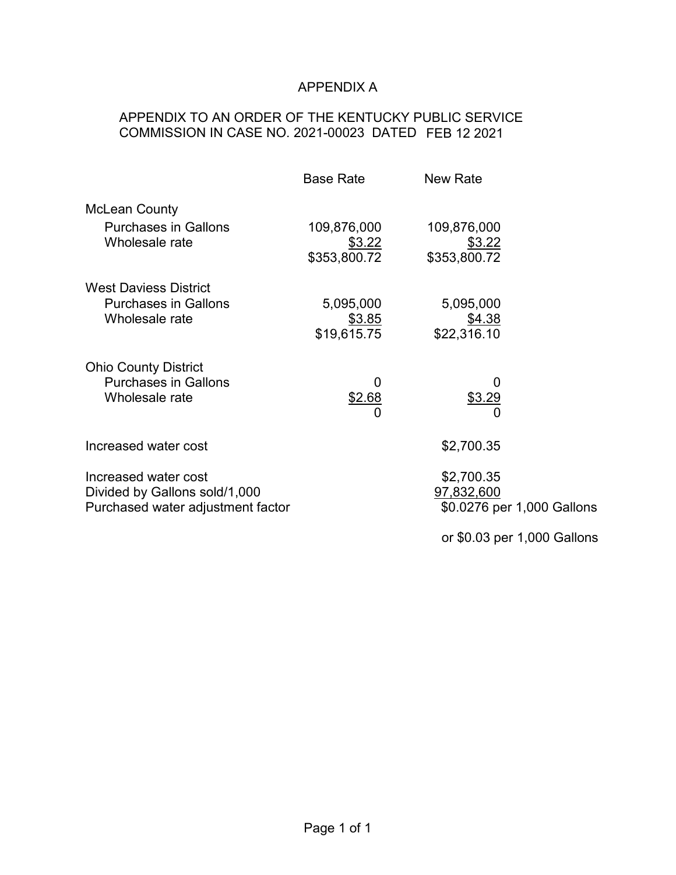# APPENDIX A

# APPENDIX TO AN ORDER OF THE KENTUCKY PUBLIC SERVICE COMMISSION IN CASE NO. 2021-00023 DATED FEB 12 2021

|                                                             | <b>Base Rate</b>       | <b>New Rate</b>             |  |
|-------------------------------------------------------------|------------------------|-----------------------------|--|
| <b>McLean County</b>                                        |                        |                             |  |
| <b>Purchases in Gallons</b>                                 | 109,876,000            | 109,876,000                 |  |
| Wholesale rate                                              | \$3.22<br>\$353,800.72 | \$3.22<br>\$353,800.72      |  |
|                                                             |                        |                             |  |
| <b>West Daviess District</b><br><b>Purchases in Gallons</b> | 5,095,000              | 5,095,000                   |  |
| Wholesale rate                                              | \$3.85                 | \$4.38                      |  |
|                                                             | \$19,615.75            | \$22,316.10                 |  |
| <b>Ohio County District</b>                                 |                        |                             |  |
| <b>Purchases in Gallons</b>                                 | 0                      | 0                           |  |
| Wholesale rate                                              | \$2.68                 | \$3.29                      |  |
|                                                             | 0                      | 0                           |  |
| Increased water cost                                        |                        | \$2,700.35                  |  |
| Increased water cost                                        |                        | \$2,700.35                  |  |
| Divided by Gallons sold/1,000                               |                        | 97,832,600                  |  |
| Purchased water adjustment factor                           |                        | \$0.0276 per 1,000 Gallons  |  |
|                                                             |                        | or \$0.03 per 1,000 Gallons |  |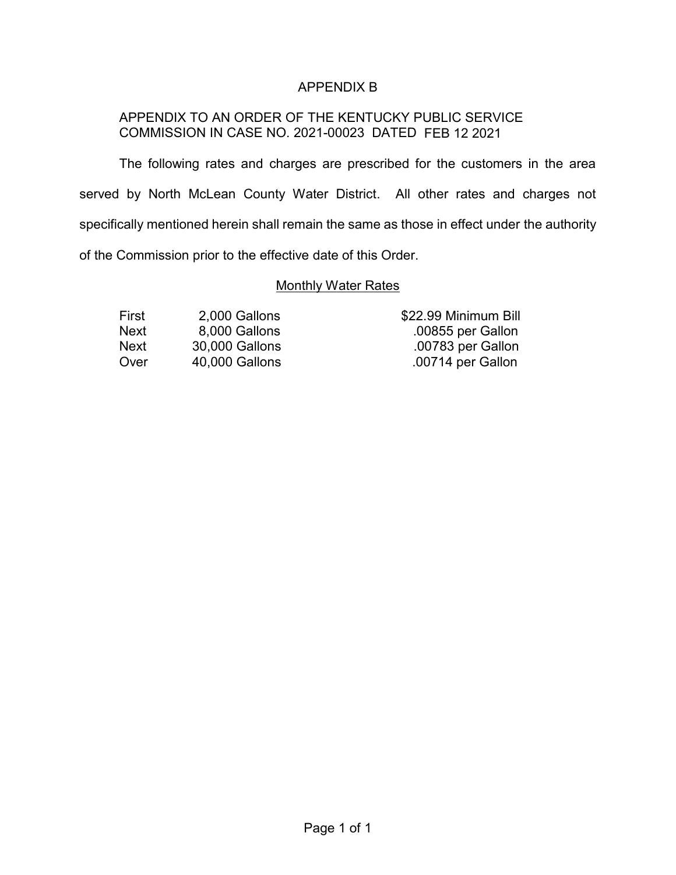## APPENDIX B

### APPENDIX TO AN ORDER OF THE KENTUCKY PUBLIC SERVICE COMMISSION IN CASE NO. 2021-00023 DATED FEB 12 2021

The following rates and charges are prescribed for the customers in the area served by North McLean County Water District. All other rates and charges not specifically mentioned herein shall remain the same as those in effect under the authority of the Commission prior to the effective date of this Order.

#### **Monthly Water Rates**

| First | 2,000 Gallons  |
|-------|----------------|
| Next  | 8,000 Gallons  |
| Next  | 30,000 Gallons |
| Over  | 40,000 Gallons |

\$22.99 Minimum Bill .00855 per Gallon .00783 per Gallon .00714 per Gallon